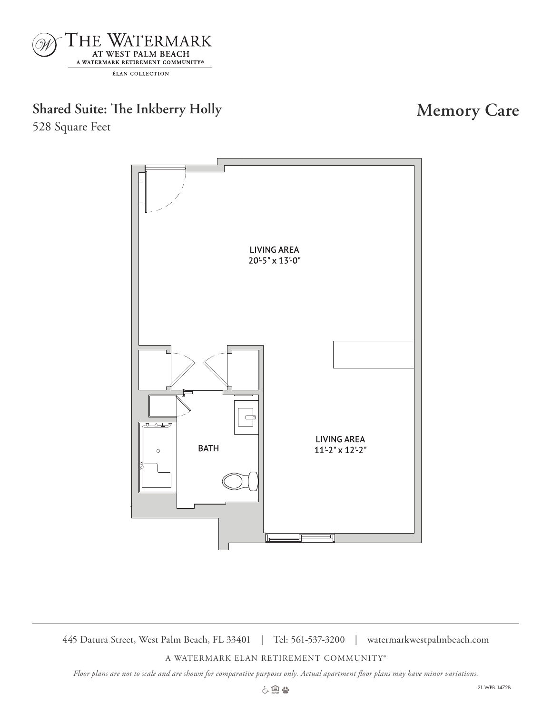

# **Shared Suite: The Inkberry Holly Memory Care**

528 Square Feet



445 Datura Street, West Palm Beach, FL 33401 | Tel: 561-537-3200 | watermarkwestpalmbeach.com

A WATERMARK ELAN RETIREMENT COMMUNITY®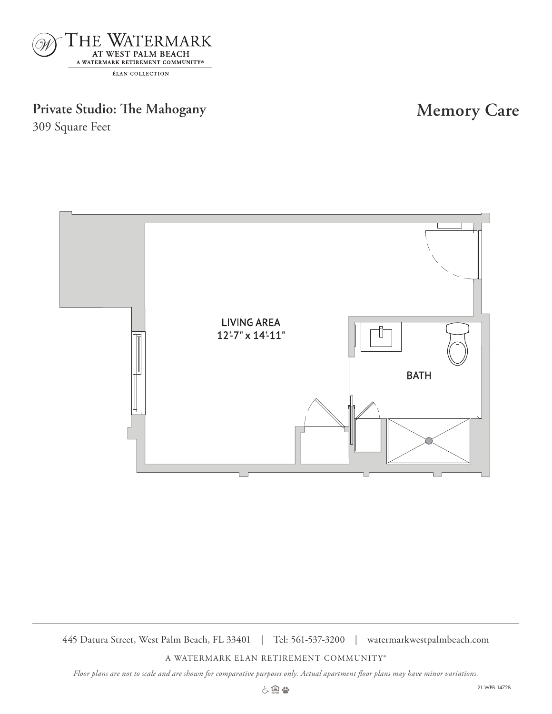

## Private Studio: The Mahogany **Memory Care**

309 Square Feet



445 Datura Street, West Palm Beach, FL 33401 | Tel: 561-537-3200 | watermarkwestpalmbeach.com

A WATERMARK ELAN RETIREMENT COMMUNITY®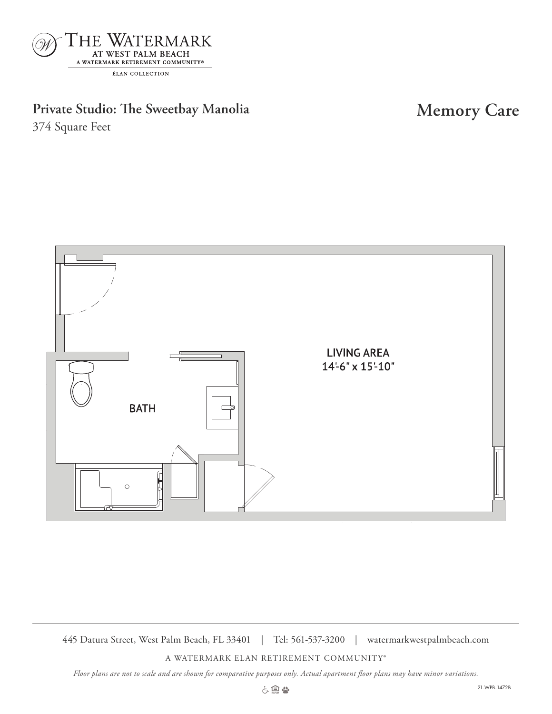

Private Studio: The Sweetbay Manolia **Memory Care** 

374 Square Feet



445 Datura Street, West Palm Beach, FL 33401 | Tel: 561-537-3200 | watermarkwestpalmbeach.com

A WATERMARK ELAN RETIREMENT COMMUNITY®